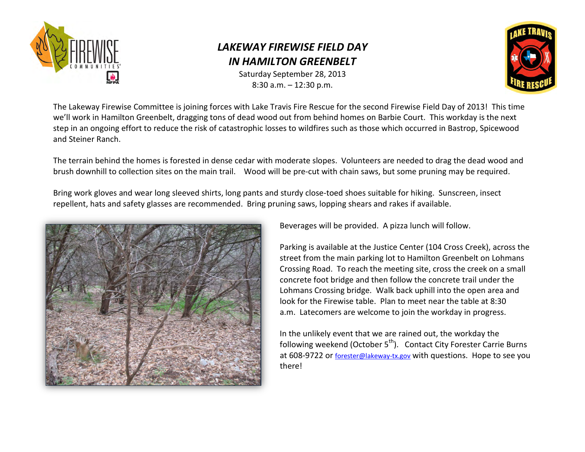

## *LAKEWAY FIREWISE FIELD DAY IN HAMILTON GREENBELT*

Saturday September 28, 2013 8:30 a.m. – 12:30 p.m.



The Lakeway Firewise Committee is joining forces with Lake Travis Fire Rescue for the second Firewise Field Day of 2013! This time we'll work in Hamilton Greenbelt, dragging tons of dead wood out from behind homes on Barbie Court. This workday is the next step in an ongoing effort to reduce the risk of catastrophic losses to wildfires such as those which occurred in Bastrop, Spicewood and Steiner Ranch.

The terrain behind the homes is forested in dense cedar with moderate slopes. Volunteers are needed to drag the dead wood and brush downhill to collection sites on the main trail. Wood will be pre-cut with chain saws, but some pruning may be required.

Bring work gloves and wear long sleeved shirts, long pants and sturdy close-toed shoes suitable for hiking. Sunscreen, insect repellent, hats and safety glasses are recommended. Bring pruning saws, lopping shears and rakes if available.



Beverages will be provided. A pizza lunch will follow.

Parking is available at the Justice Center (104 Cross Creek), across the street from the main parking lot to Hamilton Greenbelt on Lohmans Crossing Road. To reach the meeting site, cross the creek on a small concrete foot bridge and then follow the concrete trail under the Lohmans Crossing bridge. Walk back uphill into the open area and look for the Firewise table. Plan to meet near the table at 8:30 a.m. Latecomers are welcome to join the workday in progress.

In the unlikely event that we are rained out, the workday the following weekend (October  $5<sup>th</sup>$ ). Contact City Forester Carrie Burns at 608-9722 or [forester@lakeway-tx.gov](mailto:forester@lakeway-tx.gov) with questions. Hope to see you there!